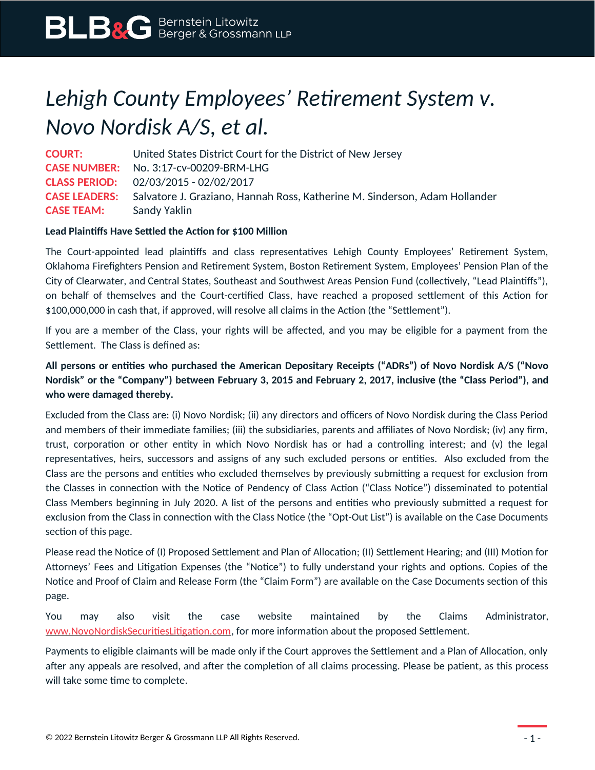# *Lehigh County Employees' Retirement System v. Novo Nordisk A/S, et al.*

**COURT:** United States District Court for the District of New Jersey **CASE NUMBER:** No. 3:17-cv-00209-BRM-LHG **CLASS PERIOD:** 02/03/2015 - 02/02/2017 **CASE LEADERS:** Salvatore J. Graziano, Hannah Ross, Katherine M. Sinderson, Adam Hollander **CASE TEAM:** Sandy Yaklin

## **Lead Plaintiffs Have Settled the Action for \$100 Million**

The Court-appointed lead plaintiffs and class representatives Lehigh County Employees' Retirement System, Oklahoma Firefighters Pension and Retirement System, Boston Retirement System, Employees' Pension Plan of the City of Clearwater, and Central States, Southeast and Southwest Areas Pension Fund (collectively, "Lead Plaintiffs"), on behalf of themselves and the Court-certified Class, have reached a proposed settlement of this Action for \$100,000,000 in cash that, if approved, will resolve all claims in the Action (the "Settlement").

If you are a member of the Class, your rights will be affected, and you may be eligible for a payment from the Settlement. The Class is defined as:

# **All persons or entities who purchased the American Depositary Receipts ("ADRs") of Novo Nordisk A/S ("Novo Nordisk" or the "Company") between February 3, 2015 and February 2, 2017, inclusive (the "Class Period"), and who were damaged thereby.**

Excluded from the Class are: (i) Novo Nordisk; (ii) any directors and officers of Novo Nordisk during the Class Period and members of their immediate families; (iii) the subsidiaries, parents and affiliates of Novo Nordisk; (iv) any firm, trust, corporation or other entity in which Novo Nordisk has or had a controlling interest; and (v) the legal representatives, heirs, successors and assigns of any such excluded persons or entities. Also excluded from the Class are the persons and entities who excluded themselves by previously submitting a request for exclusion from the Classes in connection with the Notice of Pendency of Class Action ("Class Notice") disseminated to potential Class Members beginning in July 2020. A list of the persons and entities who previously submitted a request for exclusion from the Class in connection with the Class Notice (the "Opt-Out List") is available on the Case Documents section of this page.

Please read the Notice of (I) Proposed Settlement and Plan of Allocation; (II) Settlement Hearing; and (III) Motion for Attorneys' Fees and Litigation Expenses (the "Notice") to fully understand your rights and options. Copies of the Notice and Proof of Claim and Release Form (the "Claim Form") are available on the Case Documents section of this page.

You may also visit the case website maintained by the Claims Administrator, [www.NovoNordiskSecuritiesLitigation.com](http://www.NovoNordiskSecuritiesLitigation.com/), for more information about the proposed Settlement.

Payments to eligible claimants will be made only if the Court approves the Settlement and a Plan of Allocation, only after any appeals are resolved, and after the completion of all claims processing. Please be patient, as this process will take some time to complete.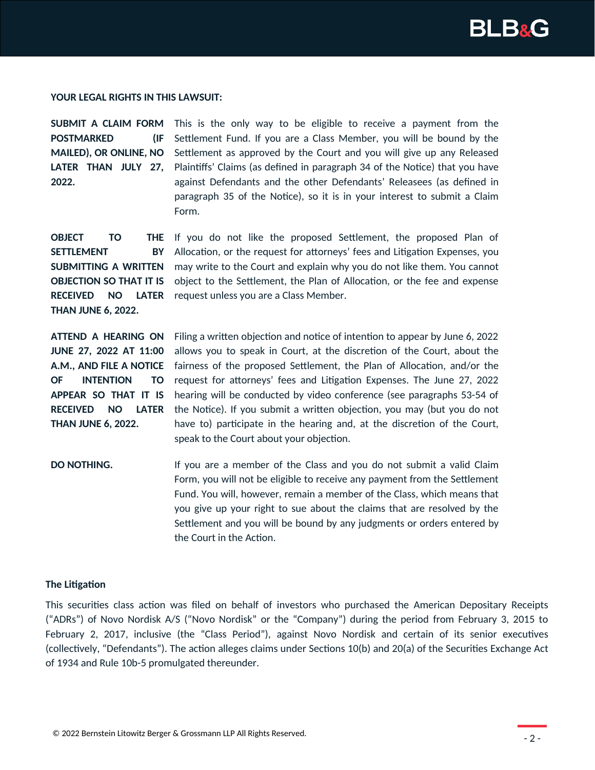

#### **YOUR LEGAL RIGHTS IN THIS LAWSUIT:**

**POSTMARKED (IF MAILED), OR ONLINE, NO 2022.**

**SUBMIT A CLAIM FORM** This is the only way to be eligible to receive a payment from the LATER THAN JULY 27, Plaintiffs' Claims (as defined in paragraph 34 of the Notice) that you have Settlement Fund. If you are a Class Member, you will be bound by the Settlement as approved by the Court and you will give up any Released against Defendants and the other Defendants' Releasees (as defined in paragraph 35 of the Notice), so it is in your interest to submit a Claim Form.

**OBJECT TO SETTLEMENT BY SUBMITTING A WRITTEN OBJECTION SO THAT IT IS RECEIVED NO LATER THAN JUNE 6, 2022.**

**THE** If you do not like the proposed Settlement, the proposed Plan of Allocation, or the request for attorneys' fees and Litigation Expenses, you may write to the Court and explain why you do not like them. You cannot object to the Settlement, the Plan of Allocation, or the fee and expense request unless you are a Class Member.

**ATTEND A HEARING ON JUNE 27, 2022 AT 11:00 A.M., AND FILE A NOTICE OF INTENTION TO APPEAR SO THAT IT IS RECEIVED NO LATER THAN JUNE 6, 2022.**

Filing a written objection and notice of intention to appear by June 6, 2022 allows you to speak in Court, at the discretion of the Court, about the fairness of the proposed Settlement, the Plan of Allocation, and/or the request for attorneys' fees and Litigation Expenses. The June 27, 2022 hearing will be conducted by video conference (see paragraphs 53-54 of the Notice). If you submit a written objection, you may (but you do not have to) participate in the hearing and, at the discretion of the Court, speak to the Court about your objection.

**DO NOTHING.** If you are a member of the Class and you do not submit a valid Claim Form, you will not be eligible to receive any payment from the Settlement Fund. You will, however, remain a member of the Class, which means that you give up your right to sue about the claims that are resolved by the Settlement and you will be bound by any judgments or orders entered by the Court in the Action.

#### **The Litigation**

This securities class action was filed on behalf of investors who purchased the American Depositary Receipts ("ADRs") of Novo Nordisk A/S ("Novo Nordisk" or the "Company") during the period from February 3, 2015 to February 2, 2017, inclusive (the "Class Period"), against Novo Nordisk and certain of its senior executives (collectively, "Defendants"). The action alleges claims under Sections 10(b) and 20(a) of the Securities Exchange Act of 1934 and Rule 10b-5 promulgated thereunder.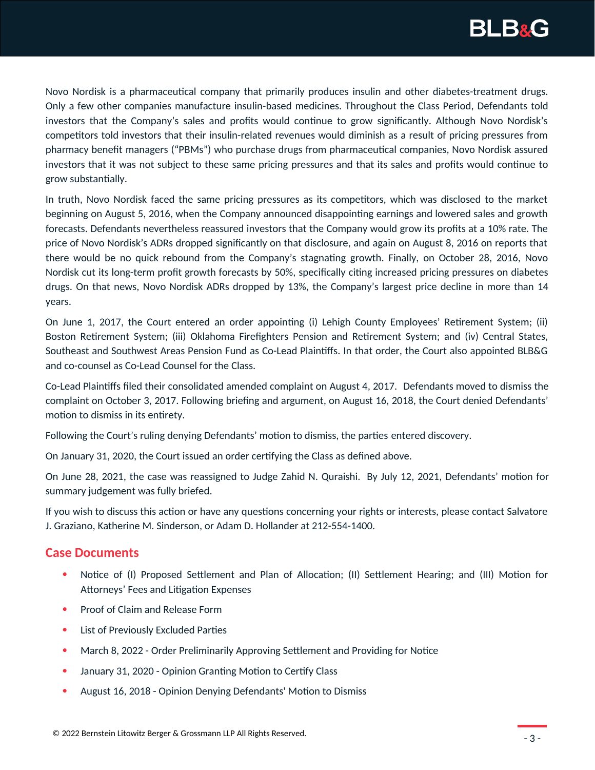

Novo Nordisk is a pharmaceutical company that primarily produces insulin and other diabetes-treatment drugs. Only a few other companies manufacture insulin-based medicines. Throughout the Class Period, Defendants told investors that the Company's sales and profits would continue to grow significantly. Although Novo Nordisk's competitors told investors that their insulin-related revenues would diminish as a result of pricing pressures from pharmacy benefit managers ("PBMs") who purchase drugs from pharmaceutical companies, Novo Nordisk assured investors that it was not subject to these same pricing pressures and that its sales and profits would continue to grow substantially.

In truth, Novo Nordisk faced the same pricing pressures as its competitors, which was disclosed to the market beginning on August 5, 2016, when the Company announced disappointing earnings and lowered sales and growth forecasts. Defendants nevertheless reassured investors that the Company would grow its profits at a 10% rate. The price of Novo Nordisk's ADRs dropped significantly on that disclosure, and again on August 8, 2016 on reports that there would be no quick rebound from the Company's stagnating growth. Finally, on October 28, 2016, Novo Nordisk cut its long-term profit growth forecasts by 50%, specifically citing increased pricing pressures on diabetes drugs. On that news, Novo Nordisk ADRs dropped by 13%, the Company's largest price decline in more than 14 years.

On June 1, 2017, the Court entered an order appointing (i) Lehigh County Employees' Retirement System; (ii) Boston Retirement System; (iii) Oklahoma Firefighters Pension and Retirement System; and (iv) Central States, Southeast and Southwest Areas Pension Fund as Co-Lead Plaintiffs. In that order, the Court also appointed BLB&G and co-counsel as Co-Lead Counsel for the Class.

Co-Lead Plaintiffs filed their consolidated amended complaint on August 4, 2017. Defendants moved to dismiss the complaint on October 3, 2017. Following briefing and argument, on August 16, 2018, the Court denied Defendants' motion to dismiss in its entirety.

Following the Court's ruling denying Defendants' motion to dismiss, the parties entered discovery.

On January 31, 2020, the Court issued an order certifying the Class as defined above.

On June 28, 2021, the case was reassigned to Judge Zahid N. Quraishi. By July 12, 2021, Defendants' motion for summary judgement was fully briefed.

If you wish to discuss this action or have any questions concerning your rights or interests, please contact Salvatore J. Graziano, Katherine M. Sinderson, or Adam D. Hollander at 212-554-1400.

### **Case Documents**

- Notice of (I) Proposed Settlement and Plan of Allocation; (II) Settlement Hearing; and (III) Motion for Attorneys' Fees and Litigation Expenses
- Proof of Claim and Release Form
- List of Previously Excluded Parties
- March 8, 2022 Order Preliminarily Approving Settlement and Providing for Notice
- January 31, 2020 Opinion Granting Motion to Certify Class
- August 16, 2018 Opinion Denying Defendants' Motion to Dismiss